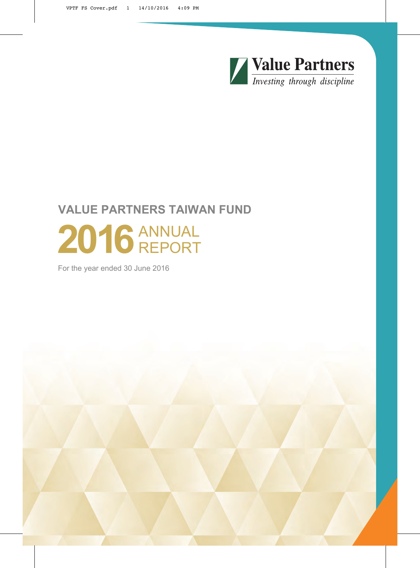

# **VALUE PARTNERS TAIWAN FUND** 2016 ANNUAL REPORT

For the year ended 30 June 2016

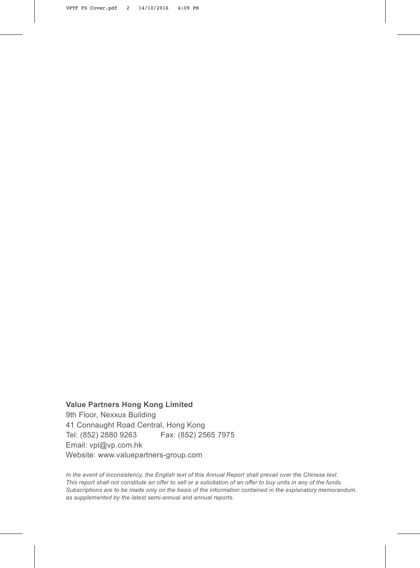**Value Partners Hong Kong Limited** 9th Floor, Nexxus Building 41 Connaught Road Central, Hong Kong Tel: (852) 2880 9263 Fax: (852) 2565 7975 Email: vpl@vp.com.hk Website: www.valuepartners-group.com

*In the event of inconsistency, the English text of this Annual Report shall prevail over the Chinese text.*  This report shall not constitute an offer to sell or a solicitation of an offer to buy units in any of the funds. *Subscriptions are to be made only on the basis of the information contained in the explanatory memorandum, as supplemented by the latest semi-annual and annual reports.*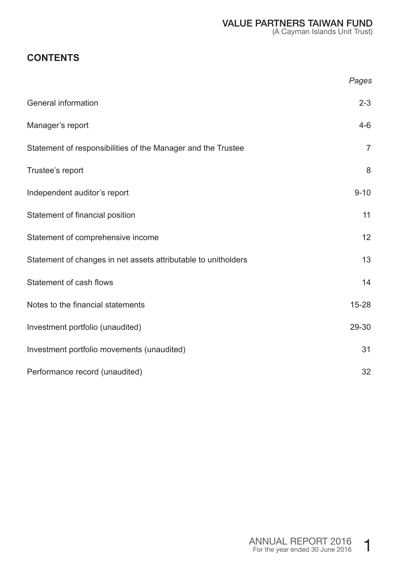# **CONTENTS**

|                                                                | Pages          |
|----------------------------------------------------------------|----------------|
| General information                                            | $2 - 3$        |
| Manager's report                                               | 4-6            |
| Statement of responsibilities of the Manager and the Trustee   | $\overline{7}$ |
| Trustee's report                                               | 8              |
| Independent auditor's report                                   | $9 - 10$       |
| Statement of financial position                                | 11             |
| Statement of comprehensive income                              | 12             |
| Statement of changes in net assets attributable to unitholders | 13             |
| Statement of cash flows                                        | 14             |
| Notes to the financial statements                              | $15 - 28$      |
| Investment portfolio (unaudited)                               | 29-30          |
| Investment portfolio movements (unaudited)                     | 31             |
| Performance record (unaudited)                                 | 32             |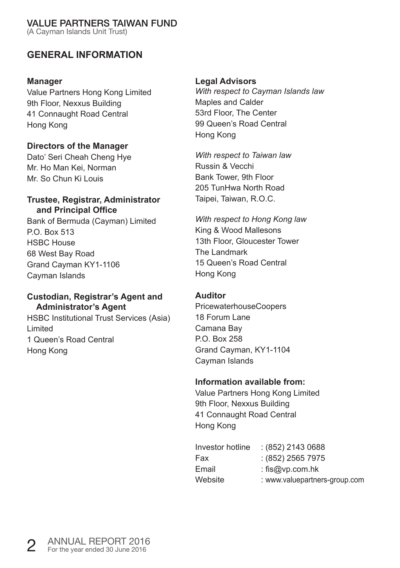(A Cayman Islands Unit Trust)

### **GENERAL INFORMATION**

#### **Manager**

Value Partners Hong Kong Limited 9th Floor, Nexxus Building 41 Connaught Road Central Hong Kong

#### **Directors of the Manager**

Dato' Seri Cheah Cheng Hye Mr. Ho Man Kei, Norman Mr. So Chun Ki Louis

#### **Trustee, Registrar, Administrator and Principal Office**

Bank of Bermuda (Cayman) Limited P.O. Box 513 HSBC House 68 West Bay Road Grand Cayman KY1-1106 Cayman Islands

#### **Custodian, Registrar's Agent and Administrator's Agent**

HSBC Institutional Trust Services (Asia) Limited 1 Queen's Road Central Hong Kong

#### **Legal Advisors**

*With respect to Cayman Islands law* Maples and Calder 53rd Floor, The Center 99 Queen's Road Central Hong Kong

*With respect to Taiwan law* Russin & Vecchi Bank Tower, 9th Floor 205 TunHwa North Road Taipei, Taiwan, R.O.C.

*With respect to Hong Kong law* King & Wood Mallesons 13th Floor, Gloucester Tower The Landmark 15 Queen's Road Central Hong Kong

#### **Auditor**

PricewaterhouseCoopers 18 Forum Lane Camana Bay P.O. Box 258 Grand Cayman, KY1-1104 Cayman Islands

#### **Information available from:**

Value Partners Hong Kong Limited 9th Floor, Nexxus Building 41 Connaught Road Central Hong Kong

| Investor hotline | : (852) 2143 0688             |
|------------------|-------------------------------|
| Fax              | $(852)$ 2565 7975             |
| Email            | : fis@vp.com.hk               |
| Website          | : www.valuepartners-group.com |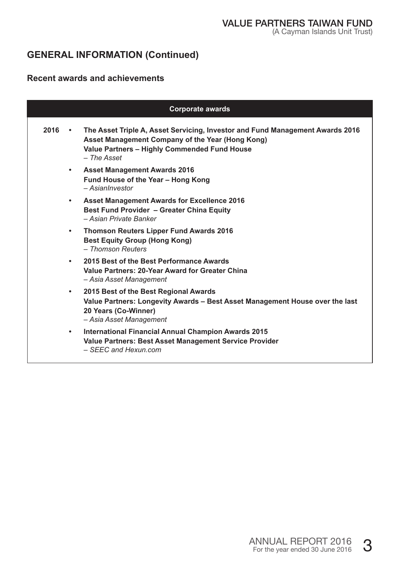# **GENERAL INFORMATION (Continued)**

#### **Recent awards and achievements**

| <b>Corporate awards</b> |           |                                                                                                                                                                                                    |  |
|-------------------------|-----------|----------------------------------------------------------------------------------------------------------------------------------------------------------------------------------------------------|--|
| 2016                    | $\bullet$ | The Asset Triple A, Asset Servicing, Investor and Fund Management Awards 2016<br>Asset Management Company of the Year (Hong Kong)<br>Value Partners - Highly Commended Fund House<br>$-$ The Asset |  |
|                         | $\bullet$ | <b>Asset Management Awards 2016</b><br>Fund House of the Year - Hong Kong<br>$- Asian Investment$                                                                                                  |  |
|                         | $\bullet$ | Asset Management Awards for Excellence 2016<br>Best Fund Provider - Greater China Equity<br>- Asian Private Banker                                                                                 |  |
|                         | ٠         | Thomson Reuters Lipper Fund Awards 2016<br><b>Best Equity Group (Hong Kong)</b><br>- Thomson Reuters                                                                                               |  |
|                         | $\bullet$ | 2015 Best of the Best Performance Awards<br>Value Partners: 20-Year Award for Greater China<br>- Asia Asset Management                                                                             |  |
|                         | $\bullet$ | 2015 Best of the Best Regional Awards<br>Value Partners: Longevity Awards - Best Asset Management House over the last<br>20 Years (Co-Winner)<br>- Asia Asset Management                           |  |
|                         | $\bullet$ | International Financial Annual Champion Awards 2015<br>Value Partners: Best Asset Management Service Provider<br>- SEEC and Hexun.com                                                              |  |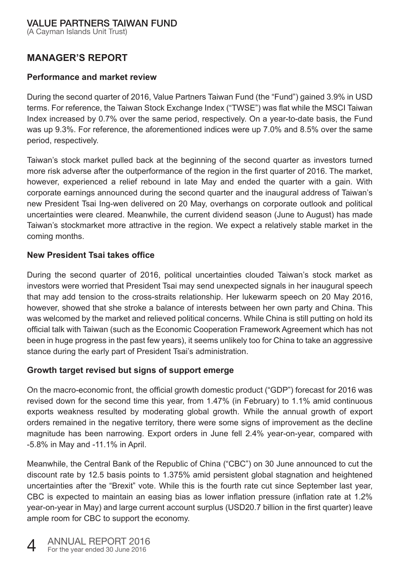(A Cayman Islands Unit Trust)

### **MANAGER'S REPORT**

#### **Performance and market review**

During the second quarter of 2016, Value Partners Taiwan Fund (the "Fund") gained 3.9% in USD terms. For reference, the Taiwan Stock Exchange Index ("TWSE") was flat while the MSCI Taiwan Index increased by 0.7% over the same period, respectively. On a year-to-date basis, the Fund was up 9.3%. For reference, the aforementioned indices were up 7.0% and 8.5% over the same period, respectively.

Taiwan's stock market pulled back at the beginning of the second quarter as investors turned more risk adverse after the outperformance of the region in the first quarter of 2016. The market, however, experienced a relief rebound in late May and ended the quarter with a gain. With corporate earnings announced during the second quarter and the inaugural address of Taiwan's new President Tsai Ing-wen delivered on 20 May, overhangs on corporate outlook and political uncertainties were cleared. Meanwhile, the current dividend season (June to August) has made Taiwan's stockmarket more attractive in the region. We expect a relatively stable market in the coming months.

#### **New President Tsai takes office**

During the second quarter of 2016, political uncertainties clouded Taiwan's stock market as investors were worried that President Tsai may send unexpected signals in her inaugural speech that may add tension to the cross-straits relationship. Her lukewarm speech on 20 May 2016, however, showed that she stroke a balance of interests between her own party and China. This was welcomed by the market and relieved political concerns. While China is still putting on hold its official talk with Taiwan (such as the Economic Cooperation Framework Agreement which has not been in huge progress in the past few years), it seems unlikely too for China to take an aggressive stance during the early part of President Tsai's administration.

#### **Growth target revised but signs of support emerge**

On the macro-economic front, the official growth domestic product ("GDP") forecast for 2016 was revised down for the second time this year, from 1.47% (in February) to 1.1% amid continuous exports weakness resulted by moderating global growth. While the annual growth of export orders remained in the negative territory, there were some signs of improvement as the decline magnitude has been narrowing. Export orders in June fell 2.4% year-on-year, compared with -5.8% in May and -11.1% in April.

Meanwhile, the Central Bank of the Republic of China ("CBC") on 30 June announced to cut the discount rate by 12.5 basis points to 1.375% amid persistent global stagnation and heightened uncertainties after the "Brexit" vote. While this is the fourth rate cut since September last year, CBC is expected to maintain an easing bias as lower inflation pressure (inflation rate at 1.2% year-on-year in May) and large current account surplus (USD20.7 billion in the first quarter) leave ample room for CBC to support the economy.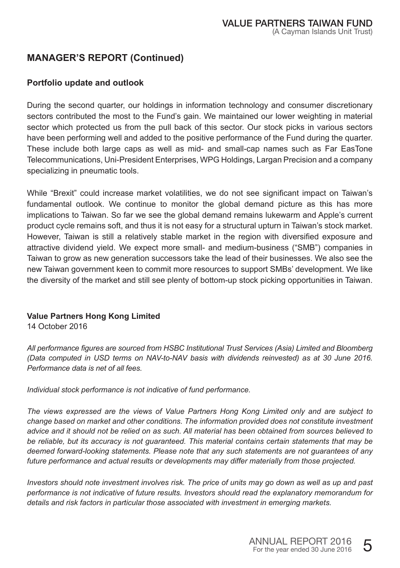### **MANAGER'S REPORT (Continued)**

#### **Portfolio update and outlook**

During the second quarter, our holdings in information technology and consumer discretionary sectors contributed the most to the Fund's gain. We maintained our lower weighting in material sector which protected us from the pull back of this sector. Our stock picks in various sectors have been performing well and added to the positive performance of the Fund during the quarter. These include both large caps as well as mid- and small-cap names such as Far EasTone Telecommunications, Uni-President Enterprises, WPG Holdings, Largan Precision and a company specializing in pneumatic tools.

While "Brexit" could increase market volatilities, we do not see significant impact on Taiwan's fundamental outlook. We continue to monitor the global demand picture as this has more implications to Taiwan. So far we see the global demand remains lukewarm and Apple's current product cycle remains soft, and thus it is not easy for a structural upturn in Taiwan's stock market. However, Taiwan is still a relatively stable market in the region with diversified exposure and attractive dividend yield. We expect more small- and medium-business ("SMB") companies in Taiwan to grow as new generation successors take the lead of their businesses. We also see the new Taiwan government keen to commit more resources to support SMBs' development. We like the diversity of the market and still see plenty of bottom-up stock picking opportunities in Taiwan.

#### **Value Partners Hong Kong Limited**

14 October 2016

*All performance figures are sourced from HSBC Institutional Trust Services (Asia) Limited and Bloomberg (Data computed in USD terms on NAV-to-NAV basis with dividends reinvested) as at 30 June 2016. Performance data is net of all fees.* 

*Individual stock performance is not indicative of fund performance.* 

*The views expressed are the views of Value Partners Hong Kong Limited only and are subject to change based on market and other conditions. The information provided does not constitute investment advice and it should not be relied on as such. All material has been obtained from sources believed to be reliable, but its accuracy is not guaranteed. This material contains certain statements that may be deemed forward-looking statements. Please note that any such statements are not guarantees of any future performance and actual results or developments may differ materially from those projected.* 

*Investors should note investment involves risk. The price of units may go down as well as up and past performance is not indicative of future results. Investors should read the explanatory memorandum for details and risk factors in particular those associated with investment in emerging markets.*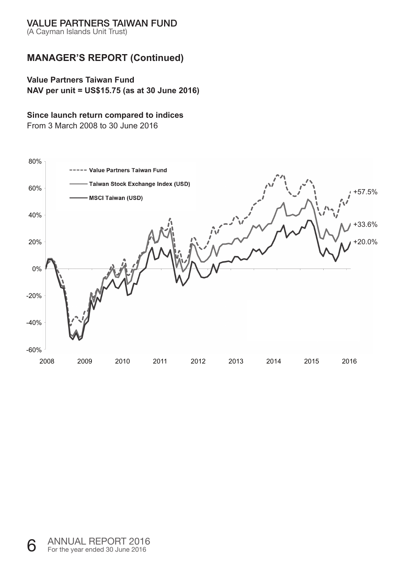(A Cayman Islands Unit Trust)

## **MANAGER'S REPORT (Continued)**

#### **Value Partners Taiwan Fund**

**NAV per unit = US\$15.75 (as at 30 June 2016)** 

#### **Since launch return compared to indices**

From 3 March 2008 to 30 June 2016

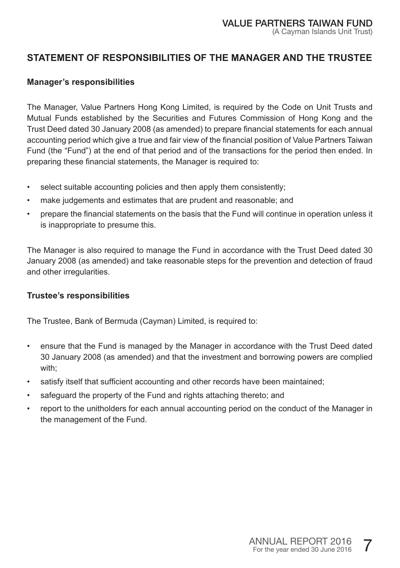## **STATEMENT OF RESPONSIBILITIES OF THE MANAGER AND THE TRUSTEE**

#### **Manager's responsibilities**

The Manager, Value Partners Hong Kong Limited, is required by the Code on Unit Trusts and Mutual Funds established by the Securities and Futures Commission of Hong Kong and the Trust Deed dated 30 January 2008 (as amended) to prepare financial statements for each annual accounting period which give a true and fair view of the financial position of Value Partners Taiwan Fund (the "Fund") at the end of that period and of the transactions for the period then ended. In preparing these financial statements, the Manager is required to:

- select suitable accounting policies and then apply them consistently;
- make judgements and estimates that are prudent and reasonable; and
- prepare the financial statements on the basis that the Fund will continue in operation unless it is inappropriate to presume this.

The Manager is also required to manage the Fund in accordance with the Trust Deed dated 30 January 2008 (as amended) and take reasonable steps for the prevention and detection of fraud and other irregularities.

#### **Trustee's responsibilities**

The Trustee, Bank of Bermuda (Cayman) Limited, is required to:

- ensure that the Fund is managed by the Manager in accordance with the Trust Deed dated 30 January 2008 (as amended) and that the investment and borrowing powers are complied with;
- satisfy itself that sufficient accounting and other records have been maintained;
- safeguard the property of the Fund and rights attaching thereto; and
- report to the unitholders for each annual accounting period on the conduct of the Manager in the management of the Fund.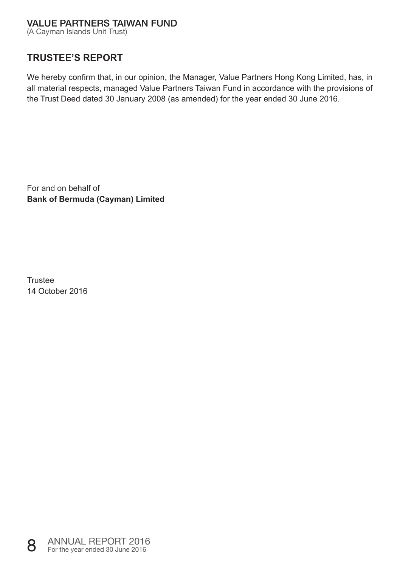(A Cayman Islands Unit Trust)

### **TRUSTEE'S REPORT**

We hereby confirm that, in our opinion, the Manager, Value Partners Hong Kong Limited, has, in all material respects, managed Value Partners Taiwan Fund in accordance with the provisions of the Trust Deed dated 30 January 2008 (as amended) for the year ended 30 June 2016.

For and on behalf of **Bank of Bermuda (Cayman) Limited** 

Trustee 14 October 2016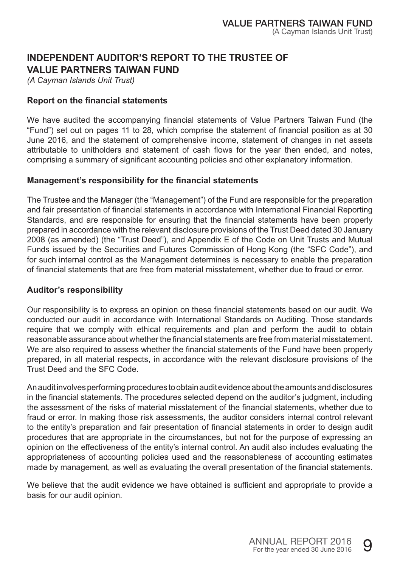### **INDEPENDENT AUDITOR'S REPORT TO THE TRUSTEE OF VALUE PARTNERS TAIWAN FUND**

*(A Cayman Islands Unit Trust)* 

#### **Report on the financial statements**

We have audited the accompanying financial statements of Value Partners Taiwan Fund (the "Fund") set out on pages 11 to 28, which comprise the statement of financial position as at 30 June 2016, and the statement of comprehensive income, statement of changes in net assets attributable to unitholders and statement of cash flows for the year then ended, and notes, comprising a summary of significant accounting policies and other explanatory information.

#### **Management's responsibility for the financial statements**

The Trustee and the Manager (the "Management") of the Fund are responsible for the preparation and fair presentation of financial statements in accordance with International Financial Reporting Standards, and are responsible for ensuring that the financial statements have been properly prepared in accordance with the relevant disclosure provisions of the Trust Deed dated 30 January 2008 (as amended) (the "Trust Deed"), and Appendix E of the Code on Unit Trusts and Mutual Funds issued by the Securities and Futures Commission of Hong Kong (the "SFC Code"), and for such internal control as the Management determines is necessary to enable the preparation of financial statements that are free from material misstatement, whether due to fraud or error.

#### **Auditor's responsibility**

Our responsibility is to express an opinion on these financial statements based on our audit. We conducted our audit in accordance with International Standards on Auditing. Those standards require that we comply with ethical requirements and plan and perform the audit to obtain reasonable assurance about whether the financial statements are free from material misstatement. We are also required to assess whether the financial statements of the Fund have been properly prepared, in all material respects, in accordance with the relevant disclosure provisions of the Trust Deed and the SFC Code.

An audit involves performing procedures to obtain audit evidence about the amounts and disclosures in the financial statements. The procedures selected depend on the auditor's judgment, including the assessment of the risks of material misstatement of the financial statements, whether due to fraud or error. In making those risk assessments, the auditor considers internal control relevant to the entity's preparation and fair presentation of financial statements in order to design audit procedures that are appropriate in the circumstances, but not for the purpose of expressing an opinion on the effectiveness of the entity's internal control. An audit also includes evaluating the appropriateness of accounting policies used and the reasonableness of accounting estimates made by management, as well as evaluating the overall presentation of the financial statements.

We believe that the audit evidence we have obtained is sufficient and appropriate to provide a basis for our audit opinion.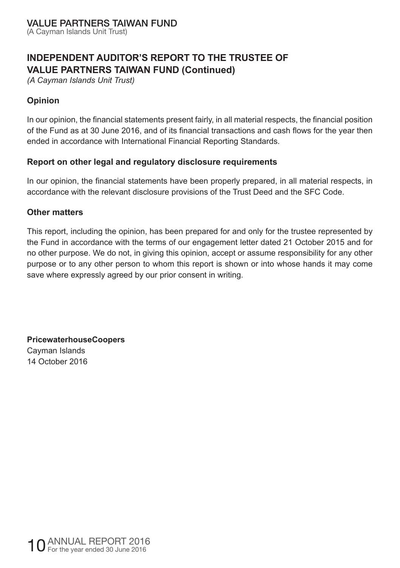(A Cayman Islands Unit Trust)

# **INDEPENDENT AUDITOR'S REPORT TO THE TRUSTEE OF VALUE PARTNERS TAIWAN FUND (Continued)**

*(A Cayman Islands Unit Trust)* 

#### **Opinion**

In our opinion, the financial statements present fairly, in all material respects, the financial position of the Fund as at 30 June 2016, and of its financial transactions and cash flows for the year then ended in accordance with International Financial Reporting Standards.

#### **Report on other legal and regulatory disclosure requirements**

In our opinion, the financial statements have been properly prepared, in all material respects, in accordance with the relevant disclosure provisions of the Trust Deed and the SFC Code.

#### **Other matters**

This report, including the opinion, has been prepared for and only for the trustee represented by the Fund in accordance with the terms of our engagement letter dated 21 October 2015 and for no other purpose. We do not, in giving this opinion, accept or assume responsibility for any other purpose or to any other person to whom this report is shown or into whose hands it may come save where expressly agreed by our prior consent in writing.

**PricewaterhouseCoopers**  Cayman Islands 14 October 2016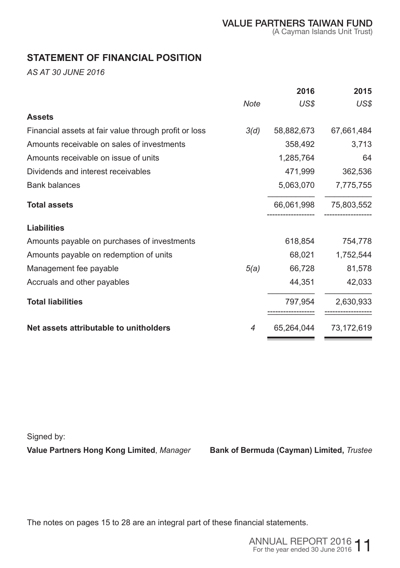### **STATEMENT OF FINANCIAL POSITION**

*AS AT 30 JUNE 2016* 

|                                                       |      | 2016       | 2015       |
|-------------------------------------------------------|------|------------|------------|
|                                                       | Note | US\$       | US\$       |
| <b>Assets</b>                                         |      |            |            |
| Financial assets at fair value through profit or loss | 3(d) | 58,882,673 | 67,661,484 |
| Amounts receivable on sales of investments            |      | 358,492    | 3,713      |
| Amounts receivable on issue of units                  |      | 1,285,764  | 64         |
| Dividends and interest receivables                    |      | 471,999    | 362,536    |
| <b>Bank balances</b>                                  |      | 5,063,070  | 7,775,755  |
| <b>Total assets</b>                                   |      | 66,061,998 | 75,803,552 |
| <b>Liabilities</b>                                    |      |            |            |
| Amounts payable on purchases of investments           |      | 618,854    | 754,778    |
| Amounts payable on redemption of units                |      | 68,021     | 1,752,544  |
| Management fee payable                                | 5(a) | 66,728     | 81,578     |
| Accruals and other payables                           |      | 44,351     | 42,033     |
| <b>Total liabilities</b>                              |      | 797,954    | 2,630,933  |
| Net assets attributable to unitholders                | 4    | 65,264,044 | 73,172,619 |

Signed by:

**Value Partners Hong Kong Limited**, *Manager* **Bank of Bermuda (Cayman) Limited,** *Trustee*

The notes on pages 15 to 28 are an integral part of these financial statements.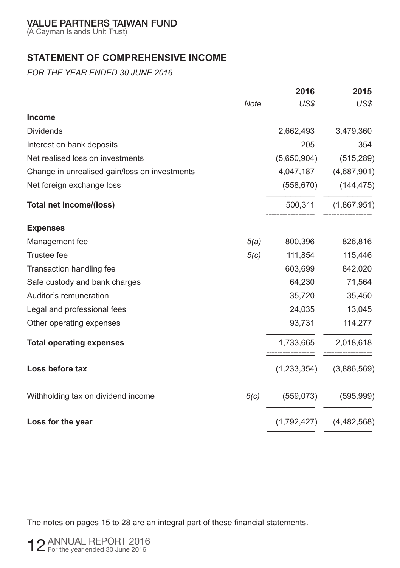(A Cayman Islands Unit Trust)

# **STATEMENT OF COMPREHENSIVE INCOME**

*FOR THE YEAR ENDED 30 JUNE 2016* 

|                                               | 2016        | 2015                |
|-----------------------------------------------|-------------|---------------------|
| Note                                          | US\$        | US\$                |
| <b>Income</b>                                 |             |                     |
| <b>Dividends</b>                              | 2,662,493   | 3,479,360           |
| Interest on bank deposits                     | 205         | 354                 |
| Net realised loss on investments              | (5,650,904) | (515, 289)          |
| Change in unrealised gain/loss on investments | 4,047,187   | (4,687,901)         |
| Net foreign exchange loss                     | (558, 670)  | (144, 475)          |
| Total net income/(loss)                       |             | 500,311 (1,867,951) |
| <b>Expenses</b>                               |             |                     |
| 5(a)<br>Management fee                        | 800,396     | 826,816             |
| Trustee fee<br>5(c)                           | 111,854     | 115,446             |
| Transaction handling fee                      | 603,699     | 842,020             |
| Safe custody and bank charges                 | 64,230      | 71,564              |
| Auditor's remuneration                        | 35,720      | 35,450              |
| Legal and professional fees                   | 24,035      | 13,045              |
| Other operating expenses                      | 93,731      | 114,277             |
| <b>Total operating expenses</b>               | 1,733,665   | 2,018,618           |
| Loss before tax                               | (1,233,354) | (3,886,569)         |
| Withholding tax on dividend income<br>6(c)    | (559, 073)  | (595, 999)          |
| Loss for the year                             | (1,792,427) | (4,482,568)         |

The notes on pages 15 to 28 are an integral part of these financial statements.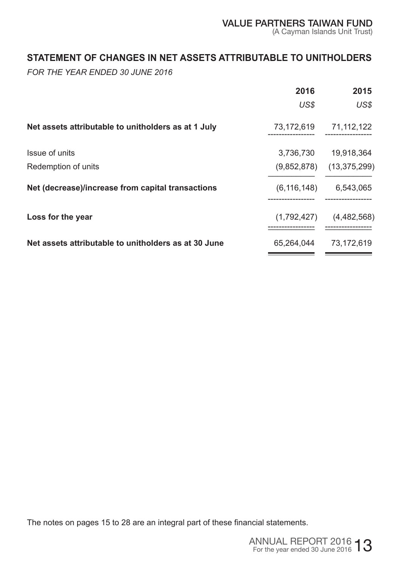### **STATEMENT OF CHANGES IN NET ASSETS ATTRIBUTABLE TO UNITHOLDERS**

*FOR THE YEAR ENDED 30 JUNE 2016* 

|                                                      | 2016          | 2015           |
|------------------------------------------------------|---------------|----------------|
|                                                      | US\$          | US\$           |
| Net assets attributable to unitholders as at 1 July  | 73,172,619    | 71,112,122     |
| Issue of units                                       | 3,736,730     | 19.918.364     |
| Redemption of units                                  | (9,852,878)   | (13, 375, 299) |
| Net (decrease)/increase from capital transactions    | (6, 116, 148) | 6,543,065      |
| Loss for the year                                    | (1,792,427)   | (4,482,568)    |
| Net assets attributable to unitholders as at 30 June | 65,264,044    | 73,172,619     |

The notes on pages 15 to 28 are an integral part of these financial statements.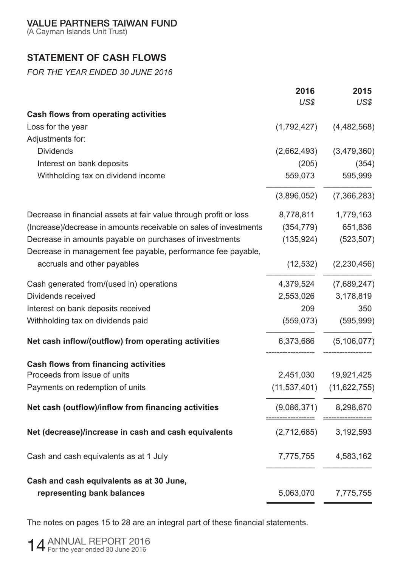(A Cayman Islands Unit Trust)

# **STATEMENT OF CASH FLOWS**

*FOR THE YEAR ENDED 30 JUNE 2016* 

|                                                                   | 2016           | 2015           |
|-------------------------------------------------------------------|----------------|----------------|
|                                                                   | US\$           | US\$           |
| Cash flows from operating activities                              |                |                |
| Loss for the year                                                 | (1,792,427)    | (4,482,568)    |
| Adjustments for:                                                  |                |                |
| <b>Dividends</b>                                                  | (2,662,493)    | (3,479,360)    |
| Interest on bank deposits                                         | (205)          | (354)          |
| Withholding tax on dividend income                                | 559,073        | 595,999        |
|                                                                   | (3,896,052)    | (7,366,283)    |
| Decrease in financial assets at fair value through profit or loss | 8,778,811      | 1,779,163      |
| (Increase)/decrease in amounts receivable on sales of investments | (354, 779)     | 651,836        |
| Decrease in amounts payable on purchases of investments           | (135, 924)     | (523, 507)     |
| Decrease in management fee payable, performance fee payable,      |                |                |
| accruals and other payables                                       | (12, 532)      | (2,230,456)    |
| Cash generated from/(used in) operations                          | 4,379,524      | (7,689,247)    |
| Dividends received                                                | 2,553,026      | 3,178,819      |
| Interest on bank deposits received                                | 209            | 350            |
| Withholding tax on dividends paid                                 | (559, 073)     | (595, 999)     |
| Net cash inflow/(outflow) from operating activities               | 6,373,686      | (5, 106, 077)  |
| Cash flows from financing activities                              |                |                |
| Proceeds from issue of units                                      | 2,451,030      | 19,921,425     |
| Payments on redemption of units                                   | (11, 537, 401) | (11, 622, 755) |
| Net cash (outflow)/inflow from financing activities               | (9,086,371)    | 8,298,670      |
| Net (decrease)/increase in cash and cash equivalents              | (2,712,685)    | 3,192,593      |
| Cash and cash equivalents as at 1 July                            | 7,775,755      | 4,583,162      |
| Cash and cash equivalents as at 30 June,                          |                |                |
| representing bank balances                                        | 5,063,070      | 7,775,755      |
|                                                                   |                |                |

The notes on pages 15 to 28 are an integral part of these financial statements.

14 ANNUAL REPORT 2016 For the year ended 30 June 2016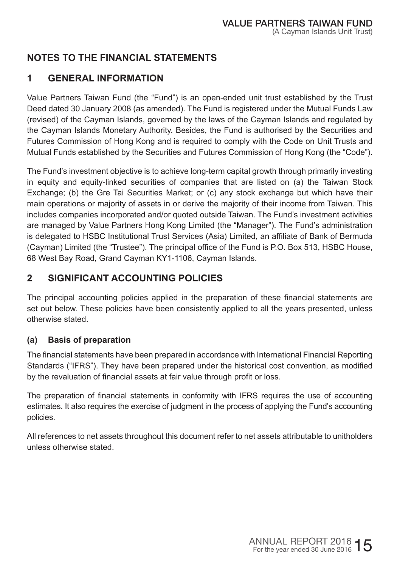# **NOTES TO THE FINANCIAL STATEMENTS**

# **1 GENERAL INFORMATION**

Value Partners Taiwan Fund (the "Fund") is an open-ended unit trust established by the Trust Deed dated 30 January 2008 (as amended). The Fund is registered under the Mutual Funds Law (revised) of the Cayman Islands, governed by the laws of the Cayman Islands and regulated by the Cayman Islands Monetary Authority. Besides, the Fund is authorised by the Securities and Futures Commission of Hong Kong and is required to comply with the Code on Unit Trusts and Mutual Funds established by the Securities and Futures Commission of Hong Kong (the "Code").

The Fund's investment objective is to achieve long-term capital growth through primarily investing in equity and equity-linked securities of companies that are listed on (a) the Taiwan Stock Exchange; (b) the Gre Tai Securities Market; or (c) any stock exchange but which have their main operations or majority of assets in or derive the majority of their income from Taiwan. This includes companies incorporated and/or quoted outside Taiwan. The Fund's investment activities are managed by Value Partners Hong Kong Limited (the "Manager"). The Fund's administration is delegated to HSBC Institutional Trust Services (Asia) Limited, an affiliate of Bank of Bermuda (Cayman) Limited (the "Trustee"). The principal office of the Fund is P.O. Box 513, HSBC House, 68 West Bay Road, Grand Cayman KY1-1106, Cayman Islands.

# **2 SIGNIFICANT ACCOUNTING POLICIES**

The principal accounting policies applied in the preparation of these financial statements are set out below. These policies have been consistently applied to all the years presented, unless otherwise stated.

### **(a) Basis of preparation**

The financial statements have been prepared in accordance with International Financial Reporting Standards ("IFRS"). They have been prepared under the historical cost convention, as modified by the revaluation of financial assets at fair value through profit or loss.

The preparation of financial statements in conformity with IFRS requires the use of accounting estimates. It also requires the exercise of judgment in the process of applying the Fund's accounting policies.

All references to net assets throughout this document refer to net assets attributable to unitholders unless otherwise stated.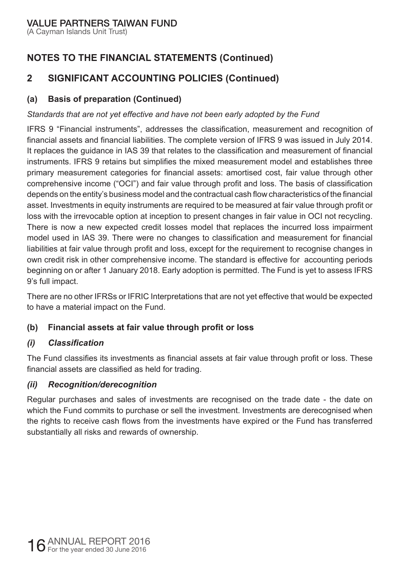(A Cayman Islands Unit Trust)

# **NOTES TO THE FINANCIAL STATEMENTS (Continued)**

# **2 SIGNIFICANT ACCOUNTING POLICIES (Continued)**

### **(a) Basis of preparation (Continued)**

### *Standards that are not yet effective and have not been early adopted by the Fund*

IFRS 9 "Financial instruments", addresses the classification, measurement and recognition of financial assets and financial liabilities. The complete version of IFRS 9 was issued in July 2014. It replaces the guidance in IAS 39 that relates to the classification and measurement of financial instruments. IFRS 9 retains but simplifies the mixed measurement model and establishes three primary measurement categories for financial assets: amortised cost, fair value through other comprehensive income ("OCI") and fair value through profit and loss. The basis of classification depends on the entity's business model and the contractual cash flow characteristics of the financial asset. Investments in equity instruments are required to be measured at fair value through profit or loss with the irrevocable option at inception to present changes in fair value in OCI not recycling. There is now a new expected credit losses model that replaces the incurred loss impairment model used in IAS 39. There were no changes to classification and measurement for financial liabilities at fair value through profit and loss, except for the requirement to recognise changes in own credit risk in other comprehensive income. The standard is effective for accounting periods beginning on or after 1 January 2018. Early adoption is permitted. The Fund is yet to assess IFRS 9's full impact.

There are no other IFRSs or IFRIC Interpretations that are not yet effective that would be expected to have a material impact on the Fund.

### **(b) Financial assets at fair value through profit or loss**

### *(i) Classification*

The Fund classifies its investments as financial assets at fair value through profit or loss. These financial assets are classified as held for trading.

### *(ii) Recognition/derecognition*

Regular purchases and sales of investments are recognised on the trade date - the date on which the Fund commits to purchase or sell the investment. Investments are derecognised when the rights to receive cash flows from the investments have expired or the Fund has transferred substantially all risks and rewards of ownership.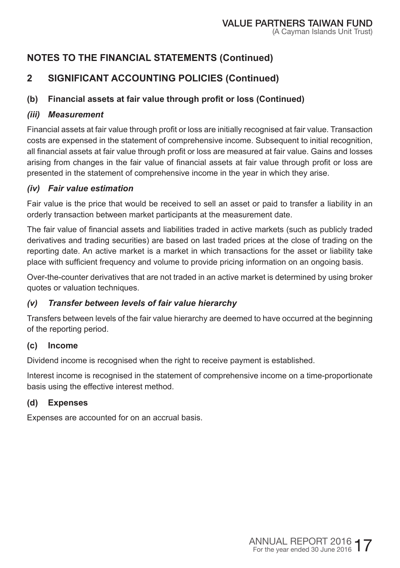# **2 SIGNIFICANT ACCOUNTING POLICIES (Continued)**

# **(b) Financial assets at fair value through profit or loss (Continued)**

### *(iii) Measurement*

Financial assets at fair value through profit or loss are initially recognised at fair value. Transaction costs are expensed in the statement of comprehensive income. Subsequent to initial recognition, all financial assets at fair value through profit or loss are measured at fair value. Gains and losses arising from changes in the fair value of financial assets at fair value through profit or loss are presented in the statement of comprehensive income in the year in which they arise.

### *(iv) Fair value estimation*

Fair value is the price that would be received to sell an asset or paid to transfer a liability in an orderly transaction between market participants at the measurement date.

The fair value of financial assets and liabilities traded in active markets (such as publicly traded derivatives and trading securities) are based on last traded prices at the close of trading on the reporting date. An active market is a market in which transactions for the asset or liability take place with sufficient frequency and volume to provide pricing information on an ongoing basis.

Over-the-counter derivatives that are not traded in an active market is determined by using broker quotes or valuation techniques.

### *(v) Transfer between levels of fair value hierarchy*

Transfers between levels of the fair value hierarchy are deemed to have occurred at the beginning of the reporting period.

### **(c) Income**

Dividend income is recognised when the right to receive payment is established.

Interest income is recognised in the statement of comprehensive income on a time-proportionate basis using the effective interest method.

### **(d) Expenses**

Expenses are accounted for on an accrual basis.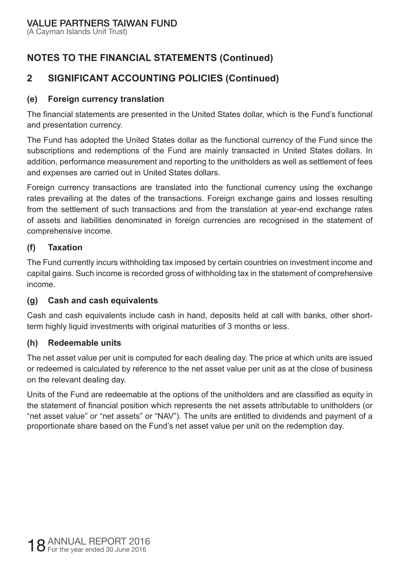(A Cayman Islands Unit Trust)

# **NOTES TO THE FINANCIAL STATEMENTS (Continued)**

# **2 SIGNIFICANT ACCOUNTING POLICIES (Continued)**

#### **(e) Foreign currency translation**

The financial statements are presented in the United States dollar, which is the Fund's functional and presentation currency.

The Fund has adopted the United States dollar as the functional currency of the Fund since the subscriptions and redemptions of the Fund are mainly transacted in United States dollars. In addition, performance measurement and reporting to the unitholders as well as settlement of fees and expenses are carried out in United States dollars.

Foreign currency transactions are translated into the functional currency using the exchange rates prevailing at the dates of the transactions. Foreign exchange gains and losses resulting from the settlement of such transactions and from the translation at year-end exchange rates of assets and liabilities denominated in foreign currencies are recognised in the statement of comprehensive income.

#### **(f) Taxation**

The Fund currently incurs withholding tax imposed by certain countries on investment income and capital gains. Such income is recorded gross of withholding tax in the statement of comprehensive income.

#### **(g) Cash and cash equivalents**

Cash and cash equivalents include cash in hand, deposits held at call with banks, other shortterm highly liquid investments with original maturities of 3 months or less.

#### **(h) Redeemable units**

The net asset value per unit is computed for each dealing day. The price at which units are issued or redeemed is calculated by reference to the net asset value per unit as at the close of business on the relevant dealing day.

Units of the Fund are redeemable at the options of the unitholders and are classified as equity in the statement of financial position which represents the net assets attributable to unitholders (or "net asset value" or "net assets" or "NAV"). The units are entitled to dividends and payment of a proportionate share based on the Fund's net asset value per unit on the redemption day.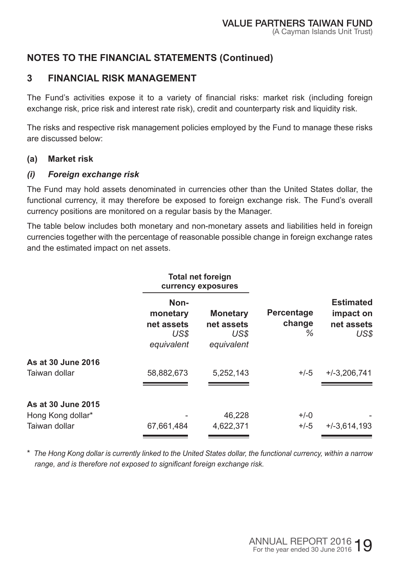# **3 FINANCIAL RISK MANAGEMENT**

The Fund's activities expose it to a variety of financial risks: market risk (including foreign exchange risk, price risk and interest rate risk), credit and counterparty risk and liquidity risk.

The risks and respective risk management policies employed by the Fund to manage these risks are discussed below:

#### **(a) Market risk**

#### *(i) Foreign exchange risk*

The Fund may hold assets denominated in currencies other than the United States dollar, the functional currency, it may therefore be exposed to foreign exchange risk. The Fund's overall currency positions are monitored on a regular basis by the Manager.

The table below includes both monetary and non-monetary assets and liabilities held in foreign currencies together with the percentage of reasonable possible change in foreign exchange rates and the estimated impact on net assets.

|                                                          |                                                      | <b>Total net foreign</b><br>currency exposures      |                           |                                                     |
|----------------------------------------------------------|------------------------------------------------------|-----------------------------------------------------|---------------------------|-----------------------------------------------------|
|                                                          | Non-<br>monetary<br>net assets<br>US\$<br>equivalent | <b>Monetary</b><br>net assets<br>US\$<br>equivalent | Percentage<br>change<br>℅ | <b>Estimated</b><br>impact on<br>net assets<br>US\$ |
| As at 30 June 2016<br>Taiwan dollar                      | 58,882,673                                           | 5,252,143                                           | $+/-5$                    | $+/-3.206.741$                                      |
| As at 30 June 2015<br>Hong Kong dollar*<br>Taiwan dollar | 67,661,484                                           | 46,228<br>4,622,371                                 | $+/-0$<br>$+/-5$          | $+/-3,614,193$                                      |

\* *The Hong Kong dollar is currently linked to the United States dollar, the functional currency, within a narrow range, and is therefore not exposed to significant foreign exchange risk.*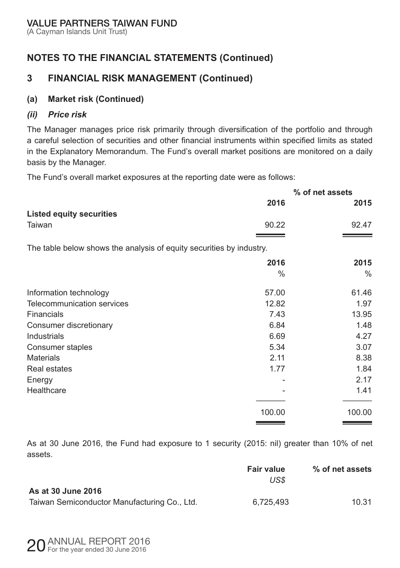(A Cayman Islands Unit Trust)

# **NOTES TO THE FINANCIAL STATEMENTS (Continued)**

# **3 FINANCIAL RISK MANAGEMENT (Continued)**

#### **(a) Market risk (Continued)**

#### *(ii) Price risk*

The Manager manages price risk primarily through diversification of the portfolio and through a careful selection of securities and other financial instruments within specified limits as stated in the Explanatory Memorandum. The Fund's overall market positions are monitored on a daily basis by the Manager.

The Fund's overall market exposures at the reporting date were as follows:

|                                                                      | % of net assets |        |  |
|----------------------------------------------------------------------|-----------------|--------|--|
|                                                                      | 2016            | 2015   |  |
| <b>Listed equity securities</b>                                      |                 |        |  |
| Taiwan                                                               | 90.22           | 92.47  |  |
|                                                                      |                 |        |  |
| The table below shows the analysis of equity securities by industry. |                 |        |  |
|                                                                      | 2016            | 2015   |  |
|                                                                      | $\%$            | $\%$   |  |
| Information technology                                               | 57.00           | 61.46  |  |
| Telecommunication services                                           | 12.82           | 1.97   |  |
| Financials                                                           | 7.43            | 13.95  |  |
| Consumer discretionary                                               | 6.84            | 1.48   |  |
| Industrials                                                          | 6.69            | 4.27   |  |
| Consumer staples                                                     | 5.34            | 3.07   |  |
| <b>Materials</b>                                                     | 2.11            | 8.38   |  |
| Real estates                                                         | 1.77            | 1.84   |  |
| Energy                                                               |                 | 2.17   |  |
| Healthcare                                                           |                 | 1.41   |  |
|                                                                      | 100.00          | 100.00 |  |

As at 30 June 2016, the Fund had exposure to 1 security (2015: nil) greater than 10% of net assets.

|                                              | <b>Fair value</b><br>US\$ | % of net assets |
|----------------------------------------------|---------------------------|-----------------|
| As at 30 June 2016                           |                           |                 |
| Taiwan Semiconductor Manufacturing Co., Ltd. | 6.725.493                 | 10.31           |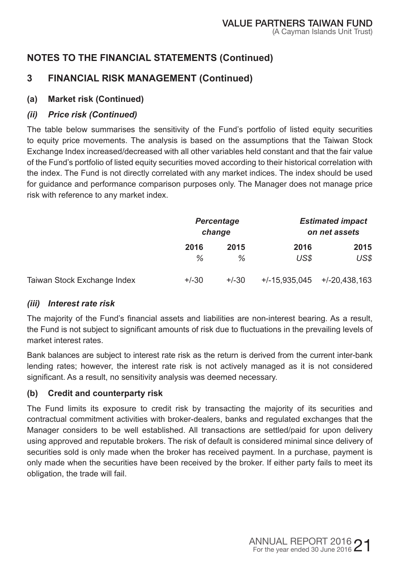# **3 FINANCIAL RISK MANAGEMENT (Continued)**

### **(a) Market risk (Continued)**

#### *(ii) Price risk (Continued)*

The table below summarises the sensitivity of the Fund's portfolio of listed equity securities to equity price movements. The analysis is based on the assumptions that the Taiwan Stock Exchange Index increased/decreased with all other variables held constant and that the fair value of the Fund's portfolio of listed equity securities moved according to their historical correlation with the index. The Fund is not directly correlated with any market indices. The index should be used for guidance and performance comparison purposes only. The Manager does not manage price risk with reference to any market index.

|                             | Percentage<br>change |         |                 | <b>Estimated impact</b><br>on net assets |
|-----------------------------|----------------------|---------|-----------------|------------------------------------------|
|                             | 2016                 | 2015    | 2016            | 2015                                     |
|                             | ℅                    | %       | US\$            | US\$                                     |
| Taiwan Stock Exchange Index | $+/-30$              | $+/-30$ | $+/-15.935.045$ | $+/-20,438,163$                          |

#### *(iii) Interest rate risk*

The majority of the Fund's financial assets and liabilities are non-interest bearing. As a result, the Fund is not subject to significant amounts of risk due to fluctuations in the prevailing levels of market interest rates.

Bank balances are subject to interest rate risk as the return is derived from the current inter-bank lending rates; however, the interest rate risk is not actively managed as it is not considered significant. As a result, no sensitivity analysis was deemed necessary.

### **(b) Credit and counterparty risk**

The Fund limits its exposure to credit risk by transacting the majority of its securities and contractual commitment activities with broker-dealers, banks and regulated exchanges that the Manager considers to be well established. All transactions are settled/paid for upon delivery using approved and reputable brokers. The risk of default is considered minimal since delivery of securities sold is only made when the broker has received payment. In a purchase, payment is only made when the securities have been received by the broker. If either party fails to meet its obligation, the trade will fail.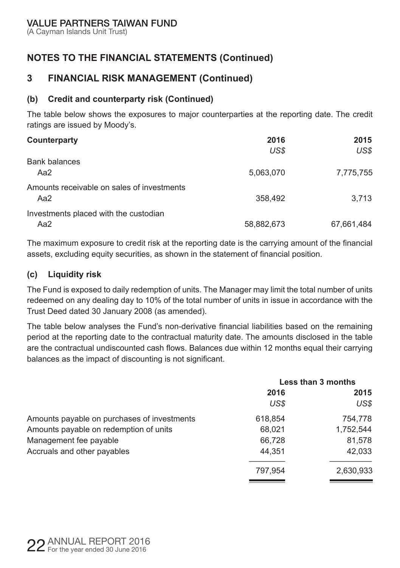(A Cayman Islands Unit Trust)

# **NOTES TO THE FINANCIAL STATEMENTS (Continued)**

### **3 FINANCIAL RISK MANAGEMENT (Continued)**

#### **(b) Credit and counterparty risk (Continued)**

The table below shows the exposures to major counterparties at the reporting date. The credit ratings are issued by Moody's.

| Counterparty                               | 2016       | 2015       |
|--------------------------------------------|------------|------------|
|                                            | US\$       | US\$       |
| <b>Bank balances</b>                       |            |            |
| Aa2                                        | 5,063,070  | 7,775,755  |
| Amounts receivable on sales of investments |            |            |
| Aa2                                        | 358,492    | 3.713      |
| Investments placed with the custodian      |            |            |
| Aa2                                        | 58,882,673 | 67,661,484 |

The maximum exposure to credit risk at the reporting date is the carrying amount of the financial assets, excluding equity securities, as shown in the statement of financial position.

#### **(c) Liquidity risk**

The Fund is exposed to daily redemption of units. The Manager may limit the total number of units redeemed on any dealing day to 10% of the total number of units in issue in accordance with the Trust Deed dated 30 January 2008 (as amended).

The table below analyses the Fund's non-derivative financial liabilities based on the remaining period at the reporting date to the contractual maturity date. The amounts disclosed in the table are the contractual undiscounted cash flows. Balances due within 12 months equal their carrying balances as the impact of discounting is not significant.

|                                             | Less than 3 months |           |
|---------------------------------------------|--------------------|-----------|
|                                             | 2016               | 2015      |
|                                             | US\$               | US\$      |
| Amounts payable on purchases of investments | 618,854            | 754.778   |
| Amounts payable on redemption of units      | 68,021             | 1,752,544 |
| Management fee payable                      | 66.728             | 81,578    |
| Accruals and other payables                 | 44.351             | 42.033    |
|                                             | 797,954            | 2,630,933 |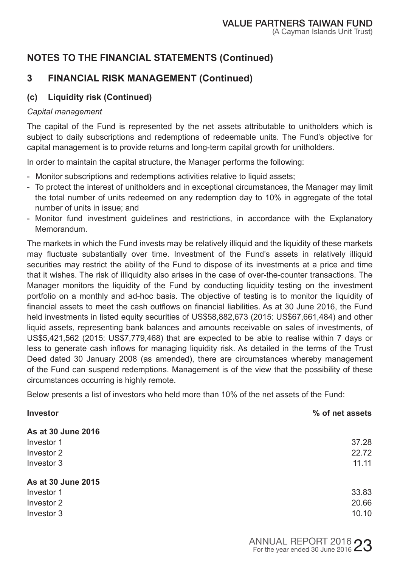# **3 FINANCIAL RISK MANAGEMENT (Continued)**

### **(c) Liquidity risk (Continued)**

#### *Capital management*

The capital of the Fund is represented by the net assets attributable to unitholders which is subject to daily subscriptions and redemptions of redeemable units. The Fund's objective for capital management is to provide returns and long-term capital growth for unitholders.

In order to maintain the capital structure, the Manager performs the following:

- Monitor subscriptions and redemptions activities relative to liquid assets;
- To protect the interest of unitholders and in exceptional circumstances, the Manager may limit the total number of units redeemed on any redemption day to 10% in aggregate of the total number of units in issue; and
- Monitor fund investment guidelines and restrictions, in accordance with the Explanatory Memorandum.

The markets in which the Fund invests may be relatively illiquid and the liquidity of these markets may fluctuate substantially over time. Investment of the Fund's assets in relatively illiquid securities may restrict the ability of the Fund to dispose of its investments at a price and time that it wishes. The risk of illiquidity also arises in the case of over-the-counter transactions. The Manager monitors the liquidity of the Fund by conducting liquidity testing on the investment portfolio on a monthly and ad-hoc basis. The objective of testing is to monitor the liquidity of financial assets to meet the cash outflows on financial liabilities. As at 30 June 2016, the Fund held investments in listed equity securities of US\$58,882,673 (2015: US\$67,661,484) and other liquid assets, representing bank balances and amounts receivable on sales of investments, of US\$5,421,562 (2015: US\$7,779,468) that are expected to be able to realise within 7 days or less to generate cash inflows for managing liquidity risk. As detailed in the terms of the Trust Deed dated 30 January 2008 (as amended), there are circumstances whereby management of the Fund can suspend redemptions. Management is of the view that the possibility of these circumstances occurring is highly remote.

Below presents a list of investors who held more than 10% of the net assets of the Fund:

| % of net assets |
|-----------------|
|                 |
| 37.28           |
| 22.72           |
| 11.11           |
|                 |
| 33.83           |
| 20.66           |
| 10.10           |
|                 |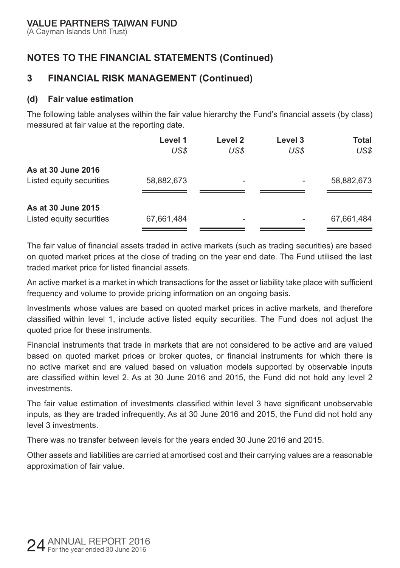(A Cayman Islands Unit Trust)

# **NOTES TO THE FINANCIAL STATEMENTS (Continued)**

# **3 FINANCIAL RISK MANAGEMENT (Continued)**

#### **(d) Fair value estimation**

The following table analyses within the fair value hierarchy the Fund's financial assets (by class) measured at fair value at the reporting date.

|                          | Level 1    | Level 2 | Level 3 | Total      |
|--------------------------|------------|---------|---------|------------|
|                          | US\$       | US\$    | US\$    | US\$       |
| As at 30 June 2016       |            |         |         |            |
| Listed equity securities | 58,882,673 | ۰       |         | 58,882,673 |
|                          |            |         |         |            |
| As at 30 June 2015       |            |         |         |            |
| Listed equity securities | 67,661,484 |         | -       | 67,661,484 |

The fair value of financial assets traded in active markets (such as trading securities) are based on quoted market prices at the close of trading on the year end date. The Fund utilised the last traded market price for listed financial assets.

An active market is a market in which transactions for the asset or liability take place with sufficient frequency and volume to provide pricing information on an ongoing basis.

Investments whose values are based on quoted market prices in active markets, and therefore classified within level 1, include active listed equity securities. The Fund does not adjust the quoted price for these instruments.

Financial instruments that trade in markets that are not considered to be active and are valued based on quoted market prices or broker quotes, or financial instruments for which there is no active market and are valued based on valuation models supported by observable inputs are classified within level 2. As at 30 June 2016 and 2015, the Fund did not hold any level 2 investments.

The fair value estimation of investments classified within level 3 have significant unobservable inputs, as they are traded infrequently. As at 30 June 2016 and 2015, the Fund did not hold any level 3 investments.

There was no transfer between levels for the years ended 30 June 2016 and 2015.

Other assets and liabilities are carried at amortised cost and their carrying values are a reasonable approximation of fair value.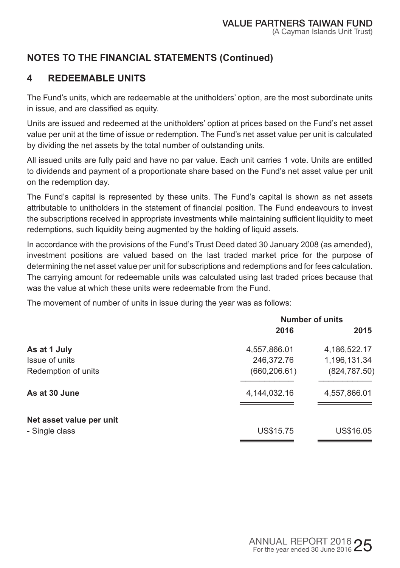# **4 REDEEMABLE UNITS**

The Fund's units, which are redeemable at the unitholders' option, are the most subordinate units in issue, and are classified as equity.

Units are issued and redeemed at the unitholders' option at prices based on the Fund's net asset value per unit at the time of issue or redemption. The Fund's net asset value per unit is calculated by dividing the net assets by the total number of outstanding units.

All issued units are fully paid and have no par value. Each unit carries 1 vote. Units are entitled to dividends and payment of a proportionate share based on the Fund's net asset value per unit on the redemption day.

The Fund's capital is represented by these units. The Fund's capital is shown as net assets attributable to unitholders in the statement of financial position. The Fund endeavours to invest the subscriptions received in appropriate investments while maintaining sufficient liquidity to meet redemptions, such liquidity being augmented by the holding of liquid assets.

In accordance with the provisions of the Fund's Trust Deed dated 30 January 2008 (as amended), investment positions are valued based on the last traded market price for the purpose of determining the net asset value per unit for subscriptions and redemptions and for fees calculation. The carrying amount for redeemable units was calculated using last traded prices because that was the value at which these units were redeemable from the Fund.

The movement of number of units in issue during the year was as follows:

| <b>Number of units</b> |               |  |
|------------------------|---------------|--|
| 2016                   | 2015          |  |
| 4,557,866.01           | 4,186,522.17  |  |
| 246,372.76             | 1,196,131.34  |  |
| (660, 206.61)          | (824, 787.50) |  |
| 4,144,032.16           | 4,557,866.01  |  |
|                        |               |  |
| US\$15.75              | US\$16.05     |  |
|                        |               |  |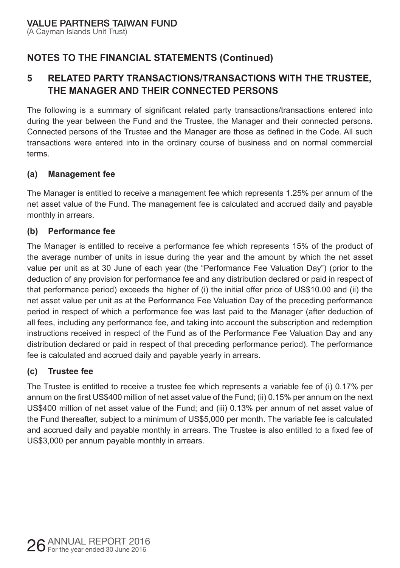# **5 RELATED PARTY TRANSACTIONS/TRANSACTIONS WITH THE TRUSTEE, THE MANAGER AND THEIR CONNECTED PERSONS**

The following is a summary of significant related party transactions/transactions entered into during the year between the Fund and the Trustee, the Manager and their connected persons. Connected persons of the Trustee and the Manager are those as defined in the Code. All such transactions were entered into in the ordinary course of business and on normal commercial terms.

#### **(a) Management fee**

The Manager is entitled to receive a management fee which represents 1.25% per annum of the net asset value of the Fund. The management fee is calculated and accrued daily and payable monthly in arrears.

#### **(b) Performance fee**

The Manager is entitled to receive a performance fee which represents 15% of the product of the average number of units in issue during the year and the amount by which the net asset value per unit as at 30 June of each year (the "Performance Fee Valuation Day") (prior to the deduction of any provision for performance fee and any distribution declared or paid in respect of that performance period) exceeds the higher of (i) the initial offer price of US\$10.00 and (ii) the net asset value per unit as at the Performance Fee Valuation Day of the preceding performance period in respect of which a performance fee was last paid to the Manager (after deduction of all fees, including any performance fee, and taking into account the subscription and redemption instructions received in respect of the Fund as of the Performance Fee Valuation Day and any distribution declared or paid in respect of that preceding performance period). The performance fee is calculated and accrued daily and payable yearly in arrears.

#### **(c) Trustee fee**

The Trustee is entitled to receive a trustee fee which represents a variable fee of (i) 0.17% per annum on the first US\$400 million of net asset value of the Fund; (ii) 0.15% per annum on the next US\$400 million of net asset value of the Fund; and (iii) 0.13% per annum of net asset value of the Fund thereafter, subject to a minimum of US\$5,000 per month. The variable fee is calculated and accrued daily and payable monthly in arrears. The Trustee is also entitled to a fixed fee of US\$3,000 per annum payable monthly in arrears.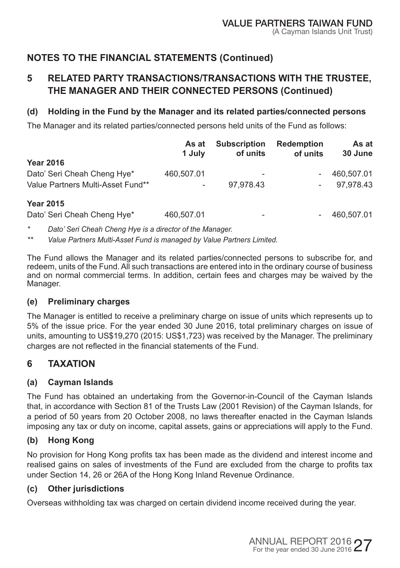# **5 RELATED PARTY TRANSACTIONS/TRANSACTIONS WITH THE TRUSTEE, THE MANAGER AND THEIR CONNECTED PERSONS (Continued)**

#### **(d) Holding in the Fund by the Manager and its related parties/connected persons**

The Manager and its related parties/connected persons held units of the Fund as follows:

|                                   | As at<br>1 July | <b>Subscription</b><br>of units | <b>Redemption</b><br>of units | As at<br>30 June |
|-----------------------------------|-----------------|---------------------------------|-------------------------------|------------------|
| <b>Year 2016</b>                  |                 |                                 |                               |                  |
| Dato' Seri Cheah Cheng Hye*       | 460,507.01      |                                 |                               | 460.507.01       |
| Value Partners Multi-Asset Fund** |                 | 97,978.43                       |                               | 97.978.43        |
| <b>Year 2015</b>                  |                 |                                 |                               |                  |
| Dato' Seri Cheah Cheng Hye*       | 460,507.01      | -                               |                               | 460.507.01       |

*\* Dato' Seri Cheah Cheng Hye is a director of the Manager.* 

*\*\* Value Partners Multi-Asset Fund is managed by Value Partners Limited.*

The Fund allows the Manager and its related parties/connected persons to subscribe for, and redeem, units of the Fund. All such transactions are entered into in the ordinary course of business and on normal commercial terms. In addition, certain fees and charges may be waived by the Manager.

#### **(e) Preliminary charges**

The Manager is entitled to receive a preliminary charge on issue of units which represents up to 5% of the issue price. For the year ended 30 June 2016, total preliminary charges on issue of units, amounting to US\$19,270 (2015: US\$1,723) was received by the Manager. The preliminary charges are not reflected in the financial statements of the Fund.

# **6 TAXATION**

#### **(a) Cayman Islands**

The Fund has obtained an undertaking from the Governor-in-Council of the Cayman Islands that, in accordance with Section 81 of the Trusts Law (2001 Revision) of the Cayman Islands, for a period of 50 years from 20 October 2008, no laws thereafter enacted in the Cayman Islands imposing any tax or duty on income, capital assets, gains or appreciations will apply to the Fund.

### **(b) Hong Kong**

No provision for Hong Kong profits tax has been made as the dividend and interest income and realised gains on sales of investments of the Fund are excluded from the charge to profits tax under Section 14, 26 or 26A of the Hong Kong Inland Revenue Ordinance.

### **(c) Other jurisdictions**

Overseas withholding tax was charged on certain dividend income received during the year.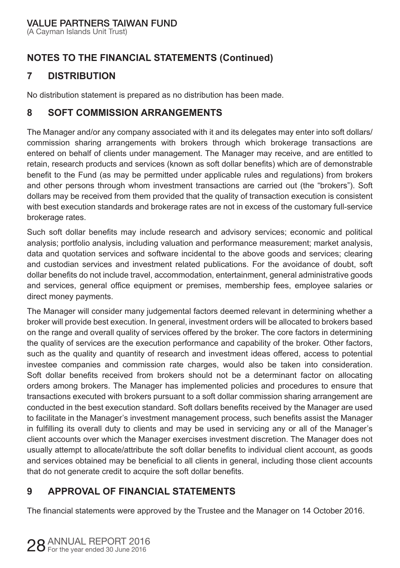(A Cayman Islands Unit Trust)

# **NOTES TO THE FINANCIAL STATEMENTS (Continued)**

# **7 DISTRIBUTION**

No distribution statement is prepared as no distribution has been made.

### **8 SOFT COMMISSION ARRANGEMENTS**

The Manager and/or any company associated with it and its delegates may enter into soft dollars/ commission sharing arrangements with brokers through which brokerage transactions are entered on behalf of clients under management. The Manager may receive, and are entitled to retain, research products and services (known as soft dollar benefits) which are of demonstrable benefit to the Fund (as may be permitted under applicable rules and regulations) from brokers and other persons through whom investment transactions are carried out (the "brokers"). Soft dollars may be received from them provided that the quality of transaction execution is consistent with best execution standards and brokerage rates are not in excess of the customary full-service brokerage rates.

Such soft dollar benefits may include research and advisory services; economic and political analysis; portfolio analysis, including valuation and performance measurement; market analysis, data and quotation services and software incidental to the above goods and services; clearing and custodian services and investment related publications. For the avoidance of doubt, soft dollar benefits do not include travel, accommodation, entertainment, general administrative goods and services, general office equipment or premises, membership fees, employee salaries or direct money payments.

The Manager will consider many judgemental factors deemed relevant in determining whether a broker will provide best execution. In general, investment orders will be allocated to brokers based on the range and overall quality of services offered by the broker. The core factors in determining the quality of services are the execution performance and capability of the broker. Other factors, such as the quality and quantity of research and investment ideas offered, access to potential investee companies and commission rate charges, would also be taken into consideration. Soft dollar benefits received from brokers should not be a determinant factor on allocating orders among brokers. The Manager has implemented policies and procedures to ensure that transactions executed with brokers pursuant to a soft dollar commission sharing arrangement are conducted in the best execution standard. Soft dollars benefits received by the Manager are used to facilitate in the Manager's investment management process, such benefits assist the Manager in fulfilling its overall duty to clients and may be used in servicing any or all of the Manager's client accounts over which the Manager exercises investment discretion. The Manager does not usually attempt to allocate/attribute the soft dollar benefits to individual client account, as goods and services obtained may be beneficial to all clients in general, including those client accounts that do not generate credit to acquire the soft dollar benefits.

# **9 APPROVAL OF FINANCIAL STATEMENTS**

The financial statements were approved by the Trustee and the Manager on 14 October 2016.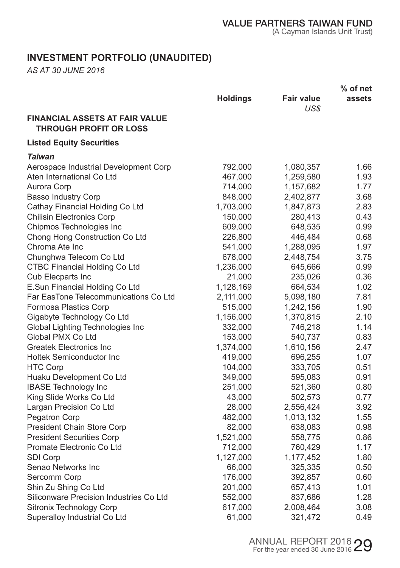# **INVESTMENT PORTFOLIO (UNAUDITED)**

*AS AT 30 JUNE 2016* 

|                                                                        |                 |                           | % of net |
|------------------------------------------------------------------------|-----------------|---------------------------|----------|
|                                                                        | <b>Holdings</b> | <b>Fair value</b><br>US\$ | assets   |
| <b>FINANCIAL ASSETS AT FAIR VALUE</b><br><b>THROUGH PROFIT OR LOSS</b> |                 |                           |          |
| <b>Listed Equity Securities</b>                                        |                 |                           |          |
| Taiwan                                                                 |                 |                           |          |
| Aerospace Industrial Development Corp                                  | 792,000         | 1,080,357                 | 1.66     |
| Aten International Co Ltd                                              | 467,000         | 1,259,580                 | 1.93     |
| Aurora Corp                                                            | 714,000         | 1,157,682                 | 1.77     |
| <b>Basso Industry Corp</b>                                             | 848,000         | 2,402,877                 | 3.68     |
| Cathay Financial Holding Co Ltd                                        | 1,703,000       | 1,847,873                 | 2.83     |
| <b>Chilisin Electronics Corp</b>                                       | 150,000         | 280,413                   | 0.43     |
| Chipmos Technologies Inc                                               | 609,000         | 648,535                   | 0.99     |
| Chong Hong Construction Co Ltd                                         | 226,800         | 446,484                   | 0.68     |
| Chroma Ate Inc.                                                        | 541,000         | 1,288,095                 | 1.97     |
| Chunghwa Telecom Co Ltd                                                | 678,000         | 2,448,754                 | 3.75     |
| <b>CTBC Financial Holding Co Ltd</b>                                   | 1,236,000       | 645,666                   | 0.99     |
| Cub Elecparts Inc                                                      | 21,000          | 235,026                   | 0.36     |
| E.Sun Financial Holding Co Ltd                                         | 1,128,169       | 664,534                   | 1.02     |
| Far EasTone Telecommunications Co Ltd                                  | 2,111,000       | 5,098,180                 | 7.81     |
| Formosa Plastics Corp                                                  | 515,000         | 1,242,156                 | 1.90     |
| Gigabyte Technology Co Ltd                                             | 1,156,000       | 1,370,815                 | 2.10     |
| Global Lighting Technologies Inc                                       | 332,000         | 746,218                   | 1.14     |
| Global PMX Co Ltd                                                      | 153,000         | 540,737                   | 0.83     |
| <b>Greatek Electronics Inc</b>                                         | 1,374,000       | 1,610,156                 | 2.47     |
| <b>Holtek Semiconductor Inc</b>                                        | 419,000         | 696,255                   | 1.07     |
| <b>HTC Corp</b>                                                        | 104,000         | 333,705                   | 0.51     |
| Huaku Development Co Ltd                                               | 349,000         | 595,083                   | 0.91     |
| <b>IBASE Technology Inc</b>                                            | 251,000         | 521,360                   | 0.80     |
| King Slide Works Co Ltd                                                | 43,000          | 502,573                   | 0.77     |
| Largan Precision Co Ltd                                                | 28,000          | 2,556,424                 | 3.92     |
| Pegatron Corp                                                          | 482,000         | 1,013,132                 | 1.55     |
| President Chain Store Corp                                             | 82,000          | 638,083                   | 0.98     |
| <b>President Securities Corp</b>                                       | 1,521,000       | 558,775                   | 0.86     |
| Promate Electronic Co Ltd                                              | 712,000         | 760,429                   | 1.17     |
| <b>SDI Corp</b>                                                        | 1,127,000       | 1,177,452                 | 1.80     |
| Senao Networks Inc                                                     | 66,000          | 325,335                   | 0.50     |
| Sercomm Corp                                                           | 176,000         | 392,857                   | 0.60     |
| Shin Zu Shing Co Ltd                                                   | 201,000         | 657,413                   | 1.01     |
| Siliconware Precision Industries Co Ltd                                | 552,000         | 837,686                   | 1.28     |
| Sitronix Technology Corp                                               | 617,000         | 2,008,464                 | 3.08     |
| Superalloy Industrial Co Ltd                                           | 61,000          | 321,472                   | 0.49     |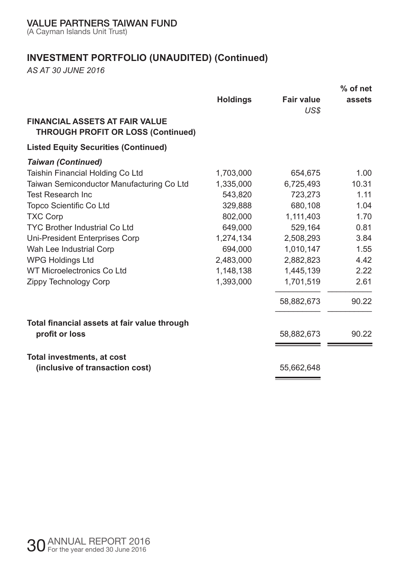(A Cayman Islands Unit Trust)

# **INVESTMENT PORTFOLIO (UNAUDITED) (Continued)**

*AS AT 30 JUNE 2016* 

|                                                                                    |                 |                           | $%$ of net |
|------------------------------------------------------------------------------------|-----------------|---------------------------|------------|
|                                                                                    | <b>Holdings</b> | <b>Fair value</b><br>US\$ | assets     |
| <b>FINANCIAL ASSETS AT FAIR VALUE</b><br><b>THROUGH PROFIT OR LOSS (Continued)</b> |                 |                           |            |
| <b>Listed Equity Securities (Continued)</b>                                        |                 |                           |            |
| <b>Taiwan (Continued)</b>                                                          |                 |                           |            |
| Taishin Financial Holding Co Ltd                                                   | 1,703,000       | 654,675                   | 1.00       |
| Taiwan Semiconductor Manufacturing Co Ltd                                          | 1.335.000       | 6,725,493                 | 10.31      |
| <b>Test Research Inc.</b>                                                          | 543,820         | 723,273                   | 1.11       |
| Topco Scientific Co Ltd                                                            | 329.888         | 680.108                   | 1.04       |
| <b>TXC Corp</b>                                                                    | 802.000         | 1,111,403                 | 1.70       |
| <b>TYC Brother Industrial Co Ltd</b>                                               | 649,000         | 529,164                   | 0.81       |
| Uni-President Enterprises Corp                                                     | 1,274,134       | 2,508,293                 | 3.84       |
| Wah Lee Industrial Corp                                                            | 694.000         | 1,010,147                 | 1.55       |
| <b>WPG Holdings Ltd</b>                                                            | 2,483,000       | 2,882,823                 | 4.42       |
| WT Microelectronics Co Ltd                                                         | 1,148,138       | 1,445,139                 | 2.22       |
| Zippy Technology Corp                                                              | 1.393.000       | 1,701,519                 | 2.61       |
|                                                                                    |                 | 58,882,673                | 90.22      |
| Total financial assets at fair value through                                       |                 |                           |            |
| profit or loss                                                                     |                 | 58,882,673                | 90.22      |
| Total investments, at cost                                                         |                 |                           |            |
| (inclusive of transaction cost)                                                    |                 | 55,662,648                |            |
|                                                                                    |                 |                           |            |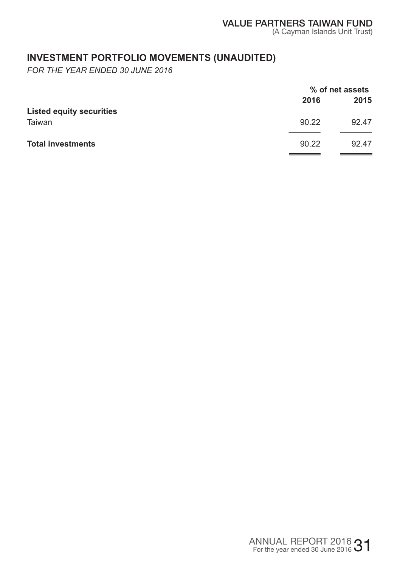# **INVESTMENT PORTFOLIO MOVEMENTS (UNAUDITED)**

*FOR THE YEAR ENDED 30 JUNE 2016* 

|                                 |       | % of net assets |  |
|---------------------------------|-------|-----------------|--|
|                                 | 2016  | 2015            |  |
| <b>Listed equity securities</b> |       |                 |  |
| Taiwan                          | 90.22 | 92.47           |  |
|                                 |       |                 |  |
| <b>Total investments</b>        | 90.22 | 92.47           |  |
|                                 |       |                 |  |